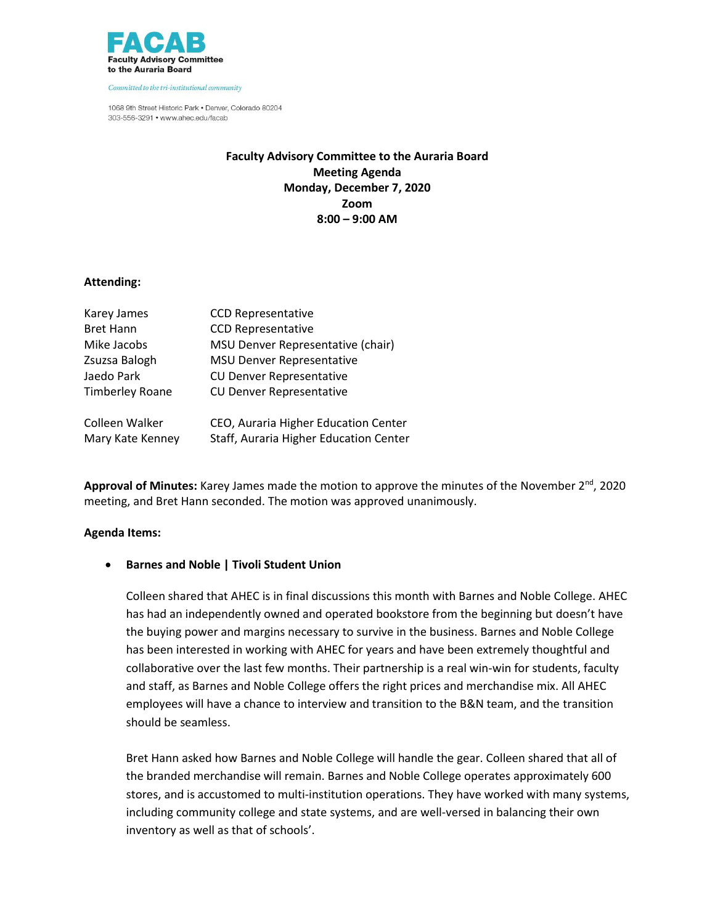

1068 9th Street Historic Park . Denver, Colorado 80204 303-556-3291 • www.ahec.edu/facab

# **Faculty Advisory Committee to the Auraria Board Meeting Agenda Monday, December 7, 2020 Zoom 8:00 – 9:00 AM**

#### **Attending:**

| Karey James            | <b>CCD Representative</b>              |
|------------------------|----------------------------------------|
| <b>Bret Hann</b>       | <b>CCD Representative</b>              |
| Mike Jacobs            | MSU Denver Representative (chair)      |
| Zsuzsa Balogh          | <b>MSU Denver Representative</b>       |
| Jaedo Park             | <b>CU Denver Representative</b>        |
| <b>Timberley Roane</b> | <b>CU Denver Representative</b>        |
| Colleen Walker         | CEO, Auraria Higher Education Center   |
| Mary Kate Kenney       | Staff, Auraria Higher Education Center |

Approval of Minutes: Karey James made the motion to approve the minutes of the November 2<sup>nd</sup>, 2020 meeting, and Bret Hann seconded. The motion was approved unanimously.

#### **Agenda Items:**

#### **Barnes and Noble | Tivoli Student Union**

Colleen shared that AHEC is in final discussions this month with Barnes and Noble College. AHEC has had an independently owned and operated bookstore from the beginning but doesn't have the buying power and margins necessary to survive in the business. Barnes and Noble College has been interested in working with AHEC for years and have been extremely thoughtful and collaborative over the last few months. Their partnership is a real win-win for students, faculty and staff, as Barnes and Noble College offers the right prices and merchandise mix. All AHEC employees will have a chance to interview and transition to the B&N team, and the transition should be seamless.

Bret Hann asked how Barnes and Noble College will handle the gear. Colleen shared that all of the branded merchandise will remain. Barnes and Noble College operates approximately 600 stores, and is accustomed to multi-institution operations. They have worked with many systems, including community college and state systems, and are well-versed in balancing their own inventory as well as that of schools'.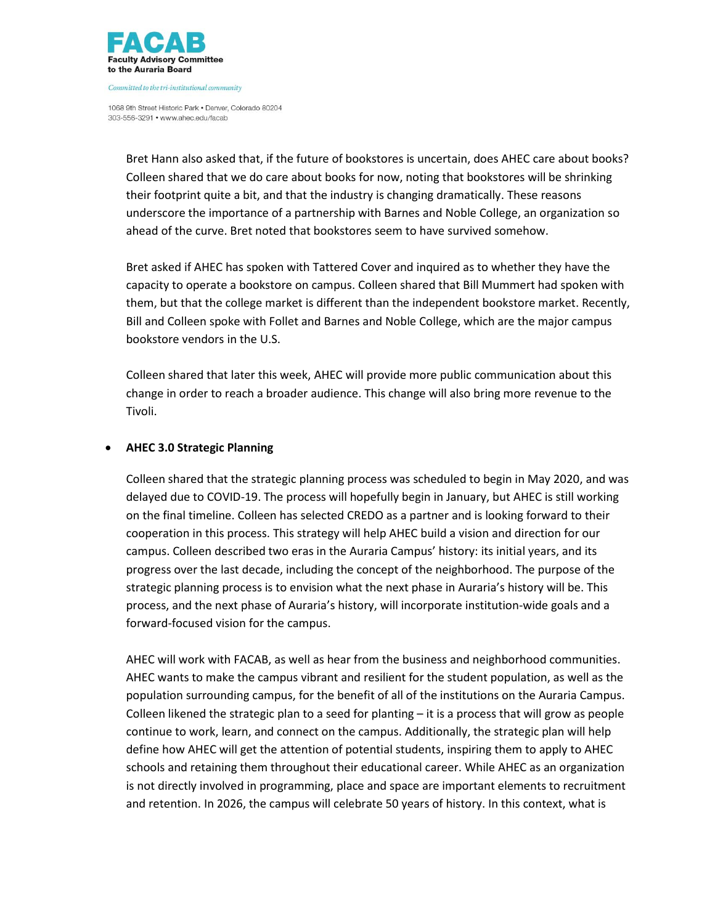

1068 9th Street Historic Park . Denver, Colorado 80204 303-556-3291 • www.ahec.edu/facab

> Bret Hann also asked that, if the future of bookstores is uncertain, does AHEC care about books? Colleen shared that we do care about books for now, noting that bookstores will be shrinking their footprint quite a bit, and that the industry is changing dramatically. These reasons underscore the importance of a partnership with Barnes and Noble College, an organization so ahead of the curve. Bret noted that bookstores seem to have survived somehow.

> Bret asked if AHEC has spoken with Tattered Cover and inquired as to whether they have the capacity to operate a bookstore on campus. Colleen shared that Bill Mummert had spoken with them, but that the college market is different than the independent bookstore market. Recently, Bill and Colleen spoke with Follet and Barnes and Noble College, which are the major campus bookstore vendors in the U.S.

Colleen shared that later this week, AHEC will provide more public communication about this change in order to reach a broader audience. This change will also bring more revenue to the Tivoli.

## **AHEC 3.0 Strategic Planning**

Colleen shared that the strategic planning process was scheduled to begin in May 2020, and was delayed due to COVID-19. The process will hopefully begin in January, but AHEC is still working on the final timeline. Colleen has selected CREDO as a partner and is looking forward to their cooperation in this process. This strategy will help AHEC build a vision and direction for our campus. Colleen described two eras in the Auraria Campus' history: its initial years, and its progress over the last decade, including the concept of the neighborhood. The purpose of the strategic planning process is to envision what the next phase in Auraria's history will be. This process, and the next phase of Auraria's history, will incorporate institution-wide goals and a forward-focused vision for the campus.

AHEC will work with FACAB, as well as hear from the business and neighborhood communities. AHEC wants to make the campus vibrant and resilient for the student population, as well as the population surrounding campus, for the benefit of all of the institutions on the Auraria Campus. Colleen likened the strategic plan to a seed for planting – it is a process that will grow as people continue to work, learn, and connect on the campus. Additionally, the strategic plan will help define how AHEC will get the attention of potential students, inspiring them to apply to AHEC schools and retaining them throughout their educational career. While AHEC as an organization is not directly involved in programming, place and space are important elements to recruitment and retention. In 2026, the campus will celebrate 50 years of history. In this context, what is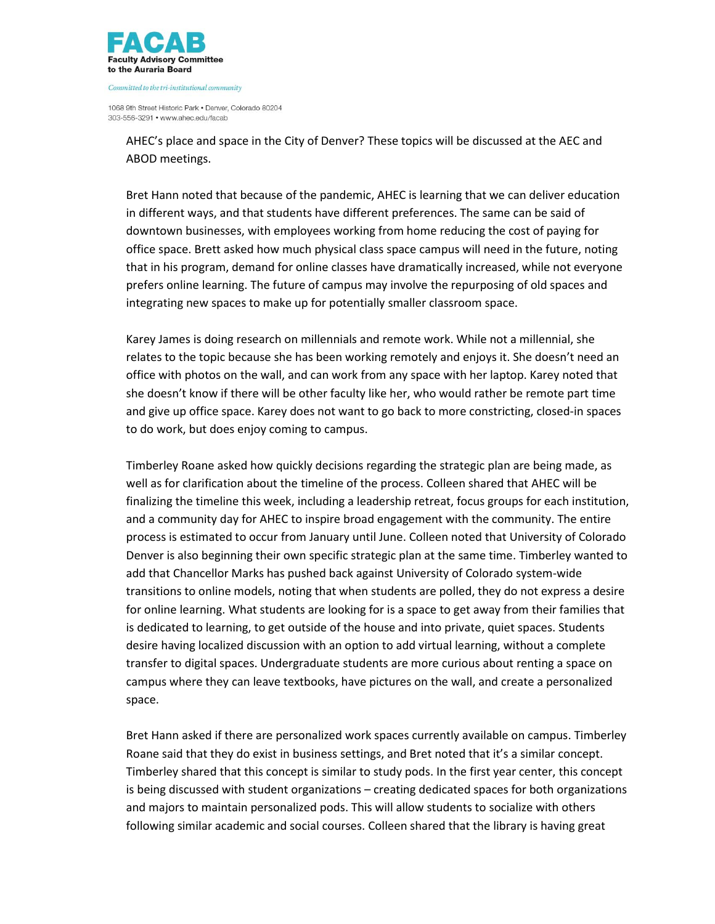

1068 9th Street Historic Park . Denver, Colorado 80204 303-556-3291 • www.ahec.edu/facab

> AHEC's place and space in the City of Denver? These topics will be discussed at the AEC and ABOD meetings.

Bret Hann noted that because of the pandemic, AHEC is learning that we can deliver education in different ways, and that students have different preferences. The same can be said of downtown businesses, with employees working from home reducing the cost of paying for office space. Brett asked how much physical class space campus will need in the future, noting that in his program, demand for online classes have dramatically increased, while not everyone prefers online learning. The future of campus may involve the repurposing of old spaces and integrating new spaces to make up for potentially smaller classroom space.

Karey James is doing research on millennials and remote work. While not a millennial, she relates to the topic because she has been working remotely and enjoys it. She doesn't need an office with photos on the wall, and can work from any space with her laptop. Karey noted that she doesn't know if there will be other faculty like her, who would rather be remote part time and give up office space. Karey does not want to go back to more constricting, closed-in spaces to do work, but does enjoy coming to campus.

Timberley Roane asked how quickly decisions regarding the strategic plan are being made, as well as for clarification about the timeline of the process. Colleen shared that AHEC will be finalizing the timeline this week, including a leadership retreat, focus groups for each institution, and a community day for AHEC to inspire broad engagement with the community. The entire process is estimated to occur from January until June. Colleen noted that University of Colorado Denver is also beginning their own specific strategic plan at the same time. Timberley wanted to add that Chancellor Marks has pushed back against University of Colorado system-wide transitions to online models, noting that when students are polled, they do not express a desire for online learning. What students are looking for is a space to get away from their families that is dedicated to learning, to get outside of the house and into private, quiet spaces. Students desire having localized discussion with an option to add virtual learning, without a complete transfer to digital spaces. Undergraduate students are more curious about renting a space on campus where they can leave textbooks, have pictures on the wall, and create a personalized space.

Bret Hann asked if there are personalized work spaces currently available on campus. Timberley Roane said that they do exist in business settings, and Bret noted that it's a similar concept. Timberley shared that this concept is similar to study pods. In the first year center, this concept is being discussed with student organizations – creating dedicated spaces for both organizations and majors to maintain personalized pods. This will allow students to socialize with others following similar academic and social courses. Colleen shared that the library is having great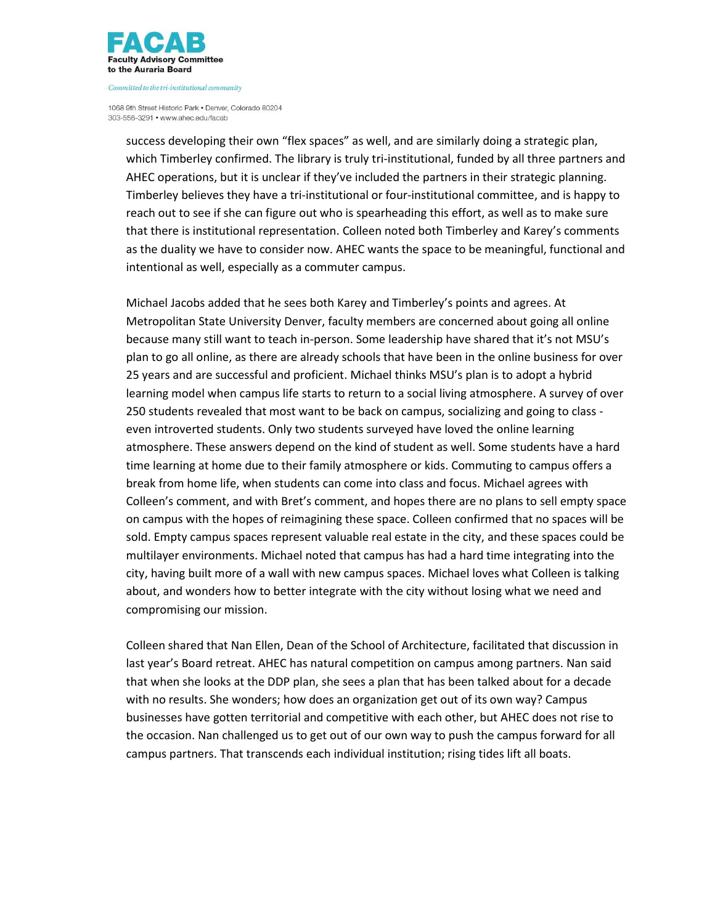

1068 9th Street Historic Park . Denver, Colorado 80204 303-556-3291 • www.ahec.edu/facab

success developing their own "flex spaces" as well, and are similarly doing a strategic plan, which Timberley confirmed. The library is truly tri-institutional, funded by all three partners and AHEC operations, but it is unclear if they've included the partners in their strategic planning. Timberley believes they have a tri-institutional or four-institutional committee, and is happy to reach out to see if she can figure out who is spearheading this effort, as well as to make sure that there is institutional representation. Colleen noted both Timberley and Karey's comments as the duality we have to consider now. AHEC wants the space to be meaningful, functional and intentional as well, especially as a commuter campus.

Michael Jacobs added that he sees both Karey and Timberley's points and agrees. At Metropolitan State University Denver, faculty members are concerned about going all online because many still want to teach in-person. Some leadership have shared that it's not MSU's plan to go all online, as there are already schools that have been in the online business for over 25 years and are successful and proficient. Michael thinks MSU's plan is to adopt a hybrid learning model when campus life starts to return to a social living atmosphere. A survey of over 250 students revealed that most want to be back on campus, socializing and going to class even introverted students. Only two students surveyed have loved the online learning atmosphere. These answers depend on the kind of student as well. Some students have a hard time learning at home due to their family atmosphere or kids. Commuting to campus offers a break from home life, when students can come into class and focus. Michael agrees with Colleen's comment, and with Bret's comment, and hopes there are no plans to sell empty space on campus with the hopes of reimagining these space. Colleen confirmed that no spaces will be sold. Empty campus spaces represent valuable real estate in the city, and these spaces could be multilayer environments. Michael noted that campus has had a hard time integrating into the city, having built more of a wall with new campus spaces. Michael loves what Colleen is talking about, and wonders how to better integrate with the city without losing what we need and compromising our mission.

Colleen shared that Nan Ellen, Dean of the School of Architecture, facilitated that discussion in last year's Board retreat. AHEC has natural competition on campus among partners. Nan said that when she looks at the DDP plan, she sees a plan that has been talked about for a decade with no results. She wonders; how does an organization get out of its own way? Campus businesses have gotten territorial and competitive with each other, but AHEC does not rise to the occasion. Nan challenged us to get out of our own way to push the campus forward for all campus partners. That transcends each individual institution; rising tides lift all boats.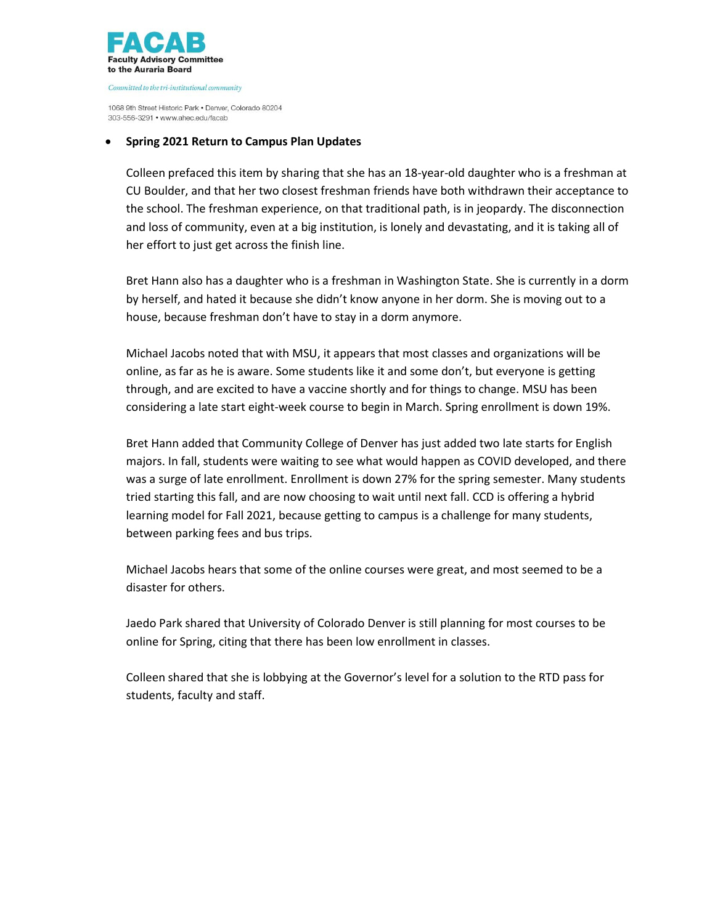

1068 9th Street Historic Park . Denver, Colorado 80204 303-556-3291 • www.ahec.edu/facab

### **Spring 2021 Return to Campus Plan Updates**

Colleen prefaced this item by sharing that she has an 18-year-old daughter who is a freshman at CU Boulder, and that her two closest freshman friends have both withdrawn their acceptance to the school. The freshman experience, on that traditional path, is in jeopardy. The disconnection and loss of community, even at a big institution, is lonely and devastating, and it is taking all of her effort to just get across the finish line.

Bret Hann also has a daughter who is a freshman in Washington State. She is currently in a dorm by herself, and hated it because she didn't know anyone in her dorm. She is moving out to a house, because freshman don't have to stay in a dorm anymore.

Michael Jacobs noted that with MSU, it appears that most classes and organizations will be online, as far as he is aware. Some students like it and some don't, but everyone is getting through, and are excited to have a vaccine shortly and for things to change. MSU has been considering a late start eight-week course to begin in March. Spring enrollment is down 19%.

Bret Hann added that Community College of Denver has just added two late starts for English majors. In fall, students were waiting to see what would happen as COVID developed, and there was a surge of late enrollment. Enrollment is down 27% for the spring semester. Many students tried starting this fall, and are now choosing to wait until next fall. CCD is offering a hybrid learning model for Fall 2021, because getting to campus is a challenge for many students, between parking fees and bus trips.

Michael Jacobs hears that some of the online courses were great, and most seemed to be a disaster for others.

Jaedo Park shared that University of Colorado Denver is still planning for most courses to be online for Spring, citing that there has been low enrollment in classes.

Colleen shared that she is lobbying at the Governor's level for a solution to the RTD pass for students, faculty and staff.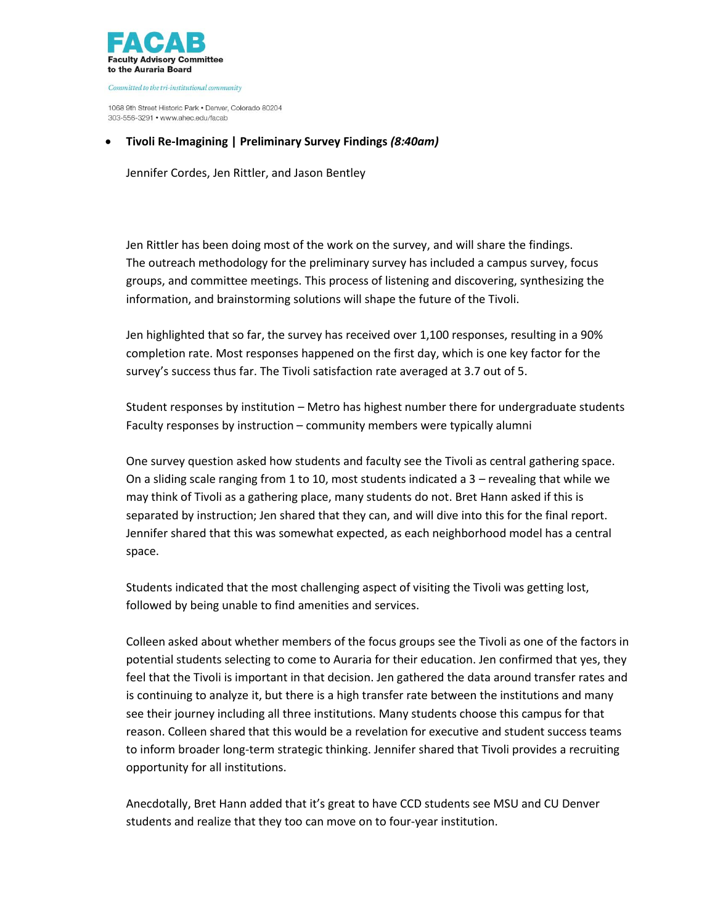

1068 9th Street Historic Park . Denver, Colorado 80204 303-556-3291 • www.ahec.edu/facab

## **Tivoli Re-Imagining | Preliminary Survey Findings** *(8:40am)*

Jennifer Cordes, Jen Rittler, and Jason Bentley

Jen Rittler has been doing most of the work on the survey, and will share the findings. The outreach methodology for the preliminary survey has included a campus survey, focus groups, and committee meetings. This process of listening and discovering, synthesizing the information, and brainstorming solutions will shape the future of the Tivoli.

Jen highlighted that so far, the survey has received over 1,100 responses, resulting in a 90% completion rate. Most responses happened on the first day, which is one key factor for the survey's success thus far. The Tivoli satisfaction rate averaged at 3.7 out of 5.

Student responses by institution – Metro has highest number there for undergraduate students Faculty responses by instruction – community members were typically alumni

One survey question asked how students and faculty see the Tivoli as central gathering space. On a sliding scale ranging from 1 to 10, most students indicated a 3 – revealing that while we may think of Tivoli as a gathering place, many students do not. Bret Hann asked if this is separated by instruction; Jen shared that they can, and will dive into this for the final report. Jennifer shared that this was somewhat expected, as each neighborhood model has a central space.

Students indicated that the most challenging aspect of visiting the Tivoli was getting lost, followed by being unable to find amenities and services.

Colleen asked about whether members of the focus groups see the Tivoli as one of the factors in potential students selecting to come to Auraria for their education. Jen confirmed that yes, they feel that the Tivoli is important in that decision. Jen gathered the data around transfer rates and is continuing to analyze it, but there is a high transfer rate between the institutions and many see their journey including all three institutions. Many students choose this campus for that reason. Colleen shared that this would be a revelation for executive and student success teams to inform broader long-term strategic thinking. Jennifer shared that Tivoli provides a recruiting opportunity for all institutions.

Anecdotally, Bret Hann added that it's great to have CCD students see MSU and CU Denver students and realize that they too can move on to four-year institution.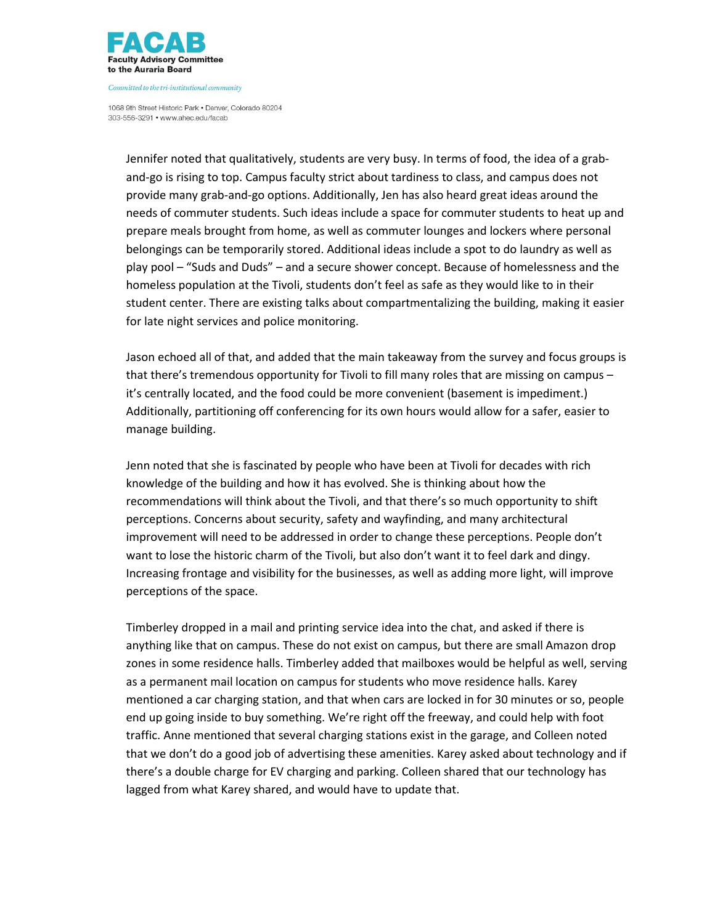

1068 9th Street Historic Park . Denver, Colorado 80204 303-556-3291 • www.ahec.edu/facab

Jennifer noted that qualitatively, students are very busy. In terms of food, the idea of a graband-go is rising to top. Campus faculty strict about tardiness to class, and campus does not provide many grab-and-go options. Additionally, Jen has also heard great ideas around the needs of commuter students. Such ideas include a space for commuter students to heat up and prepare meals brought from home, as well as commuter lounges and lockers where personal belongings can be temporarily stored. Additional ideas include a spot to do laundry as well as play pool – "Suds and Duds" – and a secure shower concept. Because of homelessness and the homeless population at the Tivoli, students don't feel as safe as they would like to in their student center. There are existing talks about compartmentalizing the building, making it easier for late night services and police monitoring.

Jason echoed all of that, and added that the main takeaway from the survey and focus groups is that there's tremendous opportunity for Tivoli to fill many roles that are missing on campus – it's centrally located, and the food could be more convenient (basement is impediment.) Additionally, partitioning off conferencing for its own hours would allow for a safer, easier to manage building.

Jenn noted that she is fascinated by people who have been at Tivoli for decades with rich knowledge of the building and how it has evolved. She is thinking about how the recommendations will think about the Tivoli, and that there's so much opportunity to shift perceptions. Concerns about security, safety and wayfinding, and many architectural improvement will need to be addressed in order to change these perceptions. People don't want to lose the historic charm of the Tivoli, but also don't want it to feel dark and dingy. Increasing frontage and visibility for the businesses, as well as adding more light, will improve perceptions of the space.

Timberley dropped in a mail and printing service idea into the chat, and asked if there is anything like that on campus. These do not exist on campus, but there are small Amazon drop zones in some residence halls. Timberley added that mailboxes would be helpful as well, serving as a permanent mail location on campus for students who move residence halls. Karey mentioned a car charging station, and that when cars are locked in for 30 minutes or so, people end up going inside to buy something. We're right off the freeway, and could help with foot traffic. Anne mentioned that several charging stations exist in the garage, and Colleen noted that we don't do a good job of advertising these amenities. Karey asked about technology and if there's a double charge for EV charging and parking. Colleen shared that our technology has lagged from what Karey shared, and would have to update that.